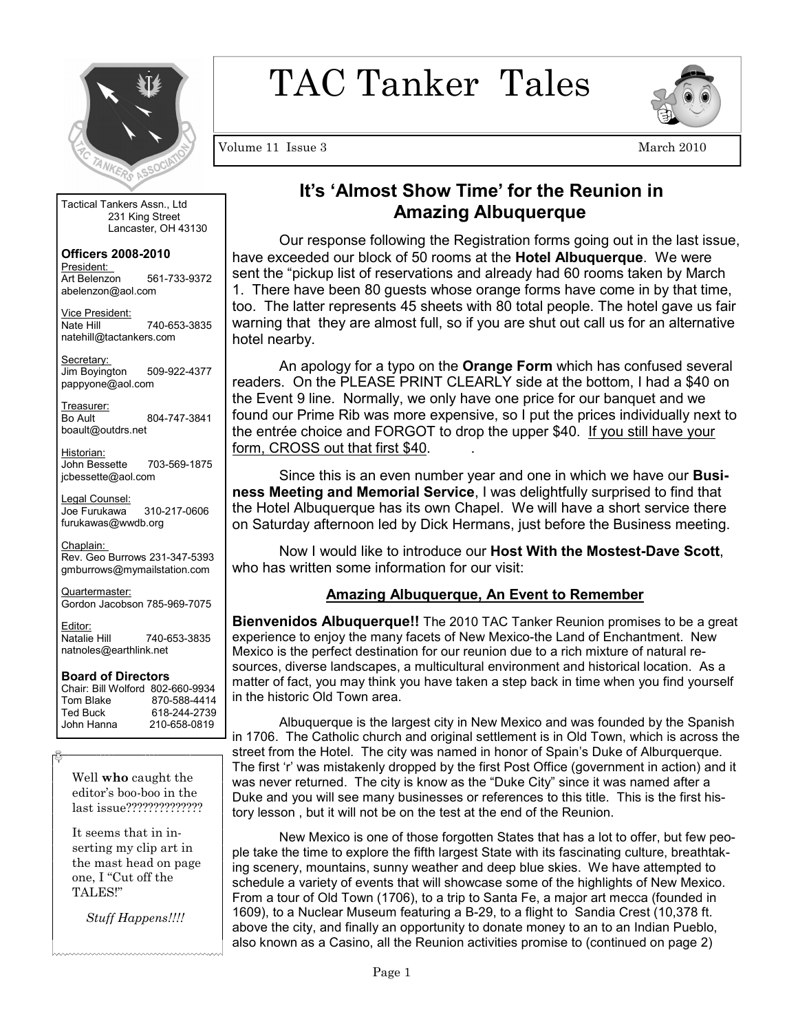

TAC Tanker Tales



Volume 11 Issue 3 March 2010

Tactical Tankers Assn., Ltd 231 King Street Lancaster, OH 43130

**Officers 2008-2010**  President: Art Belenzon 561-733-9372 abelenzon@aol.com

Vice President: Nate Hill 740-653-3835 natehill@tactankers.com

Secretary: Jim Boyington 509-922-4377 pappyone@aol.com

Treasurer: Bo Ault 804-747-3841 boault@outdrs.net

Historian: John Bessette 703-569-1875 jcbessette@aol.com

Legal Counsel: Joe Furukawa 310-217-0606 furukawas@wwdb.org

Chaplain: Rev. Geo Burrows 231-347-5393 gmburrows@mymailstation.com

Quartermaster: Gordon Jacobson 785-969-7075

Editor:<br>Natalie Hill 740-653-3835 natnoles@earthlink.net

#### **Board of Directors**

Chair: Bill Wolford 802-660-9934 Tom Blake 870-588-4414<br>Ted Buck 618-244-2739 Ted Buck 618-244-2739<br>John Hanna 210-658-0819 210-658-0819

Well **who** caught the editor's boo-boo in the last issue??????????????

It seems that in inserting my clip art in the mast head on page one, I "Cut off the TALES!"

 *Stuff Happens!!!!* 

~~~~~~~~~~~~~~~~~~~~~~~~~

# **It's 'Almost Show Time' for the Reunion in Amazing Albuquerque**

Our response following the Registration forms going out in the last issue, have exceeded our block of 50 rooms at the **Hotel Albuquerque**. We were sent the "pickup list of reservations and already had 60 rooms taken by March 1. There have been 80 guests whose orange forms have come in by that time, too. The latter represents 45 sheets with 80 total people. The hotel gave us fair warning that they are almost full, so if you are shut out call us for an alternative hotel nearby.

 An apology for a typo on the **Orange Form** which has confused several readers. On the PLEASE PRINT CLEARLY side at the bottom, I had a \$40 on the Event 9 line. Normally, we only have one price for our banquet and we found our Prime Rib was more expensive, so I put the prices individually next to the entrée choice and FORGOT to drop the upper \$40. If you still have your form, CROSS out that first \$40.

 Since this is an even number year and one in which we have our **Business Meeting and Memorial Service**, I was delightfully surprised to find that the Hotel Albuquerque has its own Chapel. We will have a short service there on Saturday afternoon led by Dick Hermans, just before the Business meeting.

 Now I would like to introduce our **Host With the Mostest-Dave Scott**, who has written some information for our visit:

#### **Amazing Albuquerque, An Event to Remember**

**Bienvenidos Albuquerque!!** The 2010 TAC Tanker Reunion promises to be a great experience to enjoy the many facets of New Mexico-the Land of Enchantment. New Mexico is the perfect destination for our reunion due to a rich mixture of natural resources, diverse landscapes, a multicultural environment and historical location. As a matter of fact, you may think you have taken a step back in time when you find yourself in the historic Old Town area.

 Albuquerque is the largest city in New Mexico and was founded by the Spanish in 1706. The Catholic church and original settlement is in Old Town, which is across the street from the Hotel. The city was named in honor of Spain's Duke of Alburquerque. The first 'r' was mistakenly dropped by the first Post Office (government in action) and it was never returned. The city is know as the "Duke City" since it was named after a Duke and you will see many businesses or references to this title. This is the first history lesson , but it will not be on the test at the end of the Reunion.

 New Mexico is one of those forgotten States that has a lot to offer, but few people take the time to explore the fifth largest State with its fascinating culture, breathtaking scenery, mountains, sunny weather and deep blue skies. We have attempted to schedule a variety of events that will showcase some of the highlights of New Mexico. From a tour of Old Town (1706), to a trip to Santa Fe, a major art mecca (founded in 1609), to a Nuclear Museum featuring a B-29, to a flight to Sandia Crest (10,378 ft. above the city, and finally an opportunity to donate money to an to an Indian Pueblo, also known as a Casino, all the Reunion activities promise to (continued on page 2)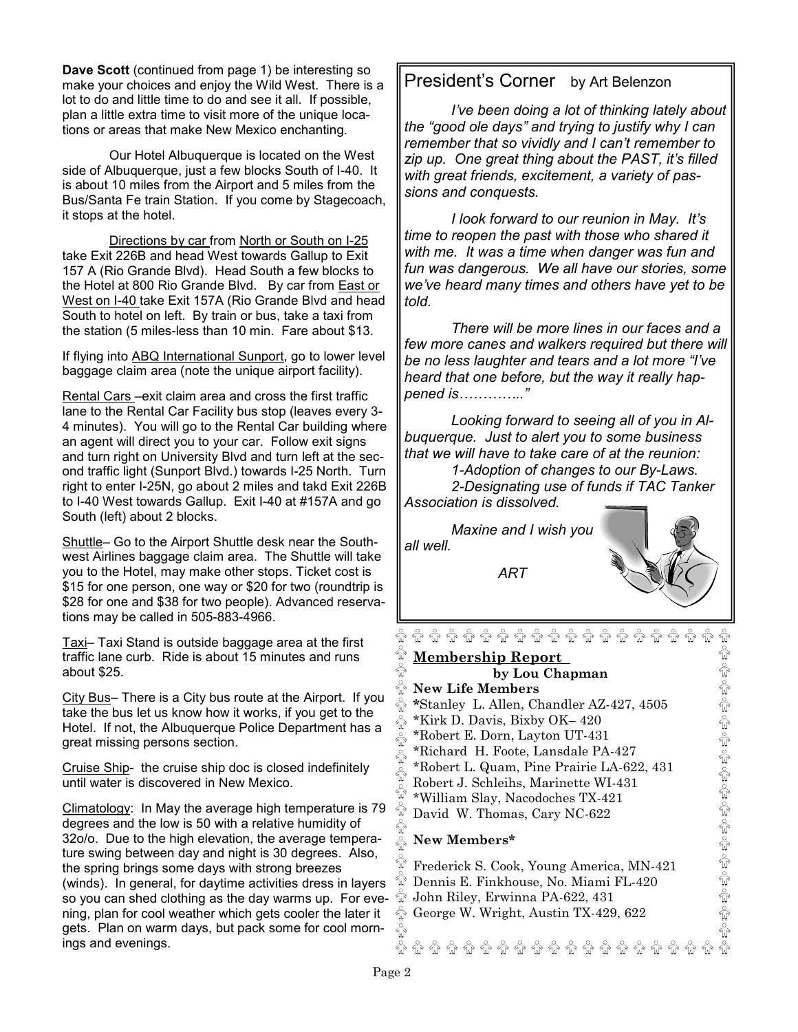**Dave Scott** (continued from page 1) be interesting so make your choices and enjoy the Wild West. There is a lot to do and little time to do and see it all. If possible, plan a little extra time to visit more of the unique locations or areas that make New Mexico enchanting.

 Our Hotel Albuquerque is located on the West side of Albuquerque, just a few blocks South of I-40. It is about 10 miles from the Airport and 5 miles from the Bus/Santa Fe train Station. If you come by Stagecoach, it stops at the hotel.

 Directions by car from North or South on I-25 take Exit 226B and head West towards Gallup to Exit 157 A (Rio Grande Blvd). Head South a few blocks to the Hotel at 800 Rio Grande Blvd. By car from East or West on I-40 take Exit 157A (Rio Grande Blvd and head South to hotel on left. By train or bus, take a taxi from the station (5 miles-less than 10 min. Fare about \$13.

If flying into ABQ International Sunport, go to lower level baggage claim area (note the unique airport facility).

Rental Cars –exit claim area and cross the first traffic lane to the Rental Car Facility bus stop (leaves every 3- 4 minutes). You will go to the Rental Car building where an agent will direct you to your car. Follow exit signs and turn right on University Blvd and turn left at the second traffic light (Sunport Blvd.) towards I-25 North. Turn right to enter I-25N, go about 2 miles and takd Exit 226B to I-40 West towards Gallup. Exit I-40 at #157A and go South (left) about 2 blocks.

Shuttle– Go to the Airport Shuttle desk near the Southwest Airlines baggage claim area. The Shuttle will take you to the Hotel, may make other stops. Ticket cost is \$15 for one person, one way or \$20 for two (roundtrip is \$28 for one and \$38 for two people). Advanced reservations may be called in 505-883-4966.

Taxi– Taxi Stand is outside baggage area at the first traffic lane curb. Ride is about 15 minutes and runs about \$25.

City Bus– There is a City bus route at the Airport. If you take the bus let us know how it works, if you get to the Hotel. If not, the Albuquerque Police Department has a great missing persons section.

Cruise Ship- the cruise ship doc is closed indefinitely until water is discovered in New Mexico.

Climatology: In May the average high temperature is 79 degrees and the low is 50 with a relative humidity of 32o/o. Due to the high elevation, the average temperature swing between day and night is 30 degrees. Also, the spring brings some days with strong breezes (winds). In general, for daytime activities dress in layers so you can shed clothing as the day warms up. For evening, plan for cool weather which gets cooler the later it gets. Plan on warm days, but pack some for cool mornings and evenings.

### President's Corner by Art Belenzon

*I've been doing a lot of thinking lately about the "good ole days" and trying to justify why I can remember that so vividly and I can't remember to zip up. One great thing about the PAST, it's filled with great friends, excitement, a variety of passions and conquests.* 

 *I look forward to our reunion in May. It's time to reopen the past with those who shared it with me. It was a time when danger was fun and fun was dangerous. We all have our stories, some we've heard many times and others have yet to be told.* 

 *There will be more lines in our faces and a few more canes and walkers required but there will be no less laughter and tears and a lot more "I've heard that one before, but the way it really happened is………….."* 

 *Looking forward to seeing all of you in Albuquerque. Just to alert you to some business that we will have to take care of at the reunion:*

 *1-Adoption of changes to our By-Laws. 2-Designating use of funds if TAC Tanker Association is dissolved.* 

 *Maxine and I wish you all well.* 

 *ART* 



କ କ କ କ କ କ କ କ କ କ କ କ କ କ କ **Membership Report by Lou Chapman New Life Members**   $\ddot{\hat{\mathbb{R}}}$ **\***Stanley L. Allen, Chandler AZ-427, 4505 \*Kirk D. Davis, Bixby OK– 420 ୢୄୖ \*Robert E. Dorn, Layton UT-431 \*Richard H. Foote, Lansdale PA-427 ชิ \*Robert L. Quam, Pine Prairie LA-622, 431 ₩ Robert J. Schleihs, Marinette WI-431 พิ \*William Slay, Nacodoches TX-421  $\overset{\circ}{\mathbb{W}}$  David W. Thomas, Cary NC-622 ที  $\frac{1}{2}$ **New Members\***  ŵ

Frederick S. Cook, Young America, MN-421 พิ Dennis E. Finkhouse, No. Miami FL-420 ชิ John Riley, Erwinna PA-622, 431  $\frac{6}{10}$  George W. Wright, Austin TX-429, 622

କ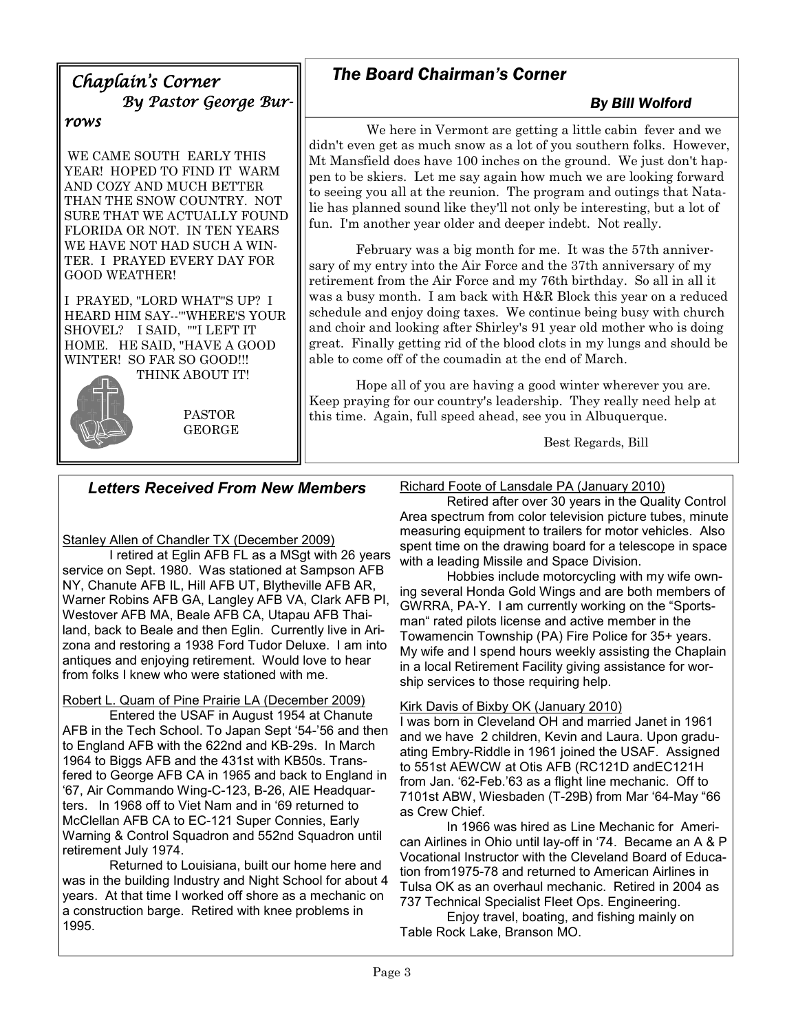# Chaplain's Corner By Pastor George Bur-

#### rows

 WE CAME SOUTH EARLY THIS YEAR! HOPED TO FIND IT WARM AND COZY AND MUCH BETTER THAN THE SNOW COUNTRY. NOT SURE THAT WE ACTUALLY FOUND FLORIDA OR NOT. IN TEN YEARS WE HAVE NOT HAD SUCH A WIN-TER. I PRAYED EVERY DAY FOR GOOD WEATHER!

I PRAYED, "LORD WHAT"S UP? I HEARD HIM SAY--'"WHERE'S YOUR SHOVEL? I SAID, ""I LEFT IT HOME. HE SAID, "HAVE A GOOD WINTER! SO FAR SO GOOD!!! THINK ABOUT IT!



 PASTOR GEORGE

# *The Board Chairman's Corner*

## *By Bill Wolford*

 We here in Vermont are getting a little cabin fever and we didn't even get as much snow as a lot of you southern folks. However, Mt Mansfield does have 100 inches on the ground. We just don't happen to be skiers. Let me say again how much we are looking forward to seeing you all at the reunion. The program and outings that Natalie has planned sound like they'll not only be interesting, but a lot of fun. I'm another year older and deeper indebt. Not really.

 February was a big month for me. It was the 57th anniversary of my entry into the Air Force and the 37th anniversary of my retirement from the Air Force and my 76th birthday. So all in all it was a busy month. I am back with H&R Block this year on a reduced schedule and enjoy doing taxes. We continue being busy with church and choir and looking after Shirley's 91 year old mother who is doing great. Finally getting rid of the blood clots in my lungs and should be able to come off of the coumadin at the end of March.

 Hope all of you are having a good winter wherever you are. Keep praying for our country's leadership. They really need help at this time. Again, full speed ahead, see you in Albuquerque.

Best Regards, Bill

## *Letters Received From New Members*

Stanley Allen of Chandler TX (December 2009)

 I retired at Eglin AFB FL as a MSgt with 26 years service on Sept. 1980. Was stationed at Sampson AFB NY, Chanute AFB IL, Hill AFB UT, Blytheville AFB AR, Warner Robins AFB GA, Langley AFB VA, Clark AFB PI, Westover AFB MA, Beale AFB CA, Utapau AFB Thailand, back to Beale and then Eglin. Currently live in Arizona and restoring a 1938 Ford Tudor Deluxe. I am into antiques and enjoying retirement. Would love to hear from folks I knew who were stationed with me.

Robert L. Quam of Pine Prairie LA (December 2009)

 Entered the USAF in August 1954 at Chanute AFB in the Tech School. To Japan Sept '54-'56 and then to England AFB with the 622nd and KB-29s. In March 1964 to Biggs AFB and the 431st with KB50s. Transfered to George AFB CA in 1965 and back to England in '67, Air Commando Wing-C-123, B-26, AIE Headquarters. In 1968 off to Viet Nam and in '69 returned to McClellan AFB CA to EC-121 Super Connies, Early Warning & Control Squadron and 552nd Squadron until retirement July 1974.

 Returned to Louisiana, built our home here and was in the building Industry and Night School for about 4 years. At that time I worked off shore as a mechanic on a construction barge. Retired with knee problems in 1995.

Richard Foote of Lansdale PA (January 2010)

 Retired after over 30 years in the Quality Control Area spectrum from color television picture tubes, minute measuring equipment to trailers for motor vehicles. Also spent time on the drawing board for a telescope in space with a leading Missile and Space Division.

 Hobbies include motorcycling with my wife owning several Honda Gold Wings and are both members of GWRRA, PA-Y. I am currently working on the "Sportsman" rated pilots license and active member in the Towamencin Township (PA) Fire Police for 35+ years. My wife and I spend hours weekly assisting the Chaplain in a local Retirement Facility giving assistance for worship services to those requiring help.

#### Kirk Davis of Bixby OK (January 2010)

I was born in Cleveland OH and married Janet in 1961 and we have 2 children, Kevin and Laura. Upon graduating Embry-Riddle in 1961 joined the USAF. Assigned to 551st AEWCW at Otis AFB (RC121D andEC121H from Jan. '62-Feb.'63 as a flight line mechanic. Off to 7101st ABW, Wiesbaden (T-29B) from Mar '64-May "66 as Crew Chief.

 In 1966 was hired as Line Mechanic for American Airlines in Ohio until lay-off in '74. Became an A & P Vocational Instructor with the Cleveland Board of Education from1975-78 and returned to American Airlines in Tulsa OK as an overhaul mechanic. Retired in 2004 as 737 Technical Specialist Fleet Ops. Engineering.

 Enjoy travel, boating, and fishing mainly on Table Rock Lake, Branson MO.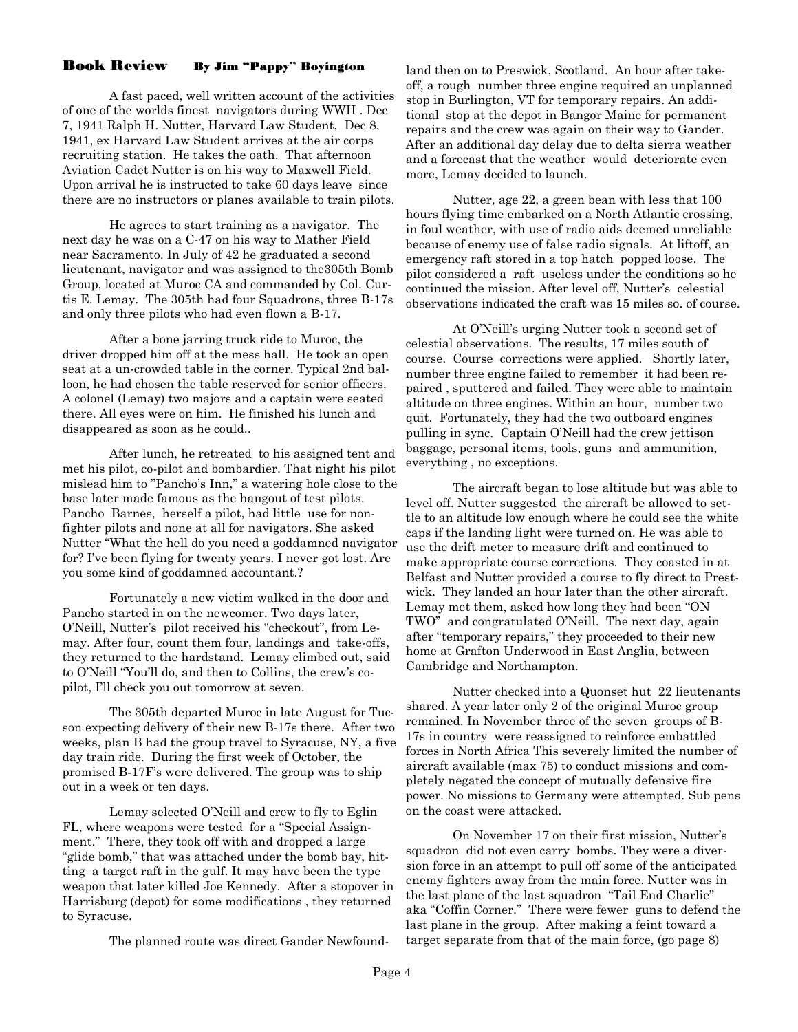#### Book Review By Jim "Pappy" Boyington

 A fast paced, well written account of the activities of one of the worlds finest navigators during WWII . Dec 7, 1941 Ralph H. Nutter, Harvard Law Student, Dec 8, 1941, ex Harvard Law Student arrives at the air corps recruiting station. He takes the oath. That afternoon Aviation Cadet Nutter is on his way to Maxwell Field. Upon arrival he is instructed to take 60 days leave since there are no instructors or planes available to train pilots.

 He agrees to start training as a navigator. The next day he was on a C-47 on his way to Mather Field near Sacramento. In July of 42 he graduated a second lieutenant, navigator and was assigned to the305th Bomb Group, located at Muroc CA and commanded by Col. Curtis E. Lemay. The 305th had four Squadrons, three B-17s and only three pilots who had even flown a B-17.

 After a bone jarring truck ride to Muroc, the driver dropped him off at the mess hall. He took an open seat at a un-crowded table in the corner. Typical 2nd balloon, he had chosen the table reserved for senior officers. A colonel (Lemay) two majors and a captain were seated there. All eyes were on him. He finished his lunch and disappeared as soon as he could..

 After lunch, he retreated to his assigned tent and met his pilot, co-pilot and bombardier. That night his pilot mislead him to "Pancho's Inn," a watering hole close to the base later made famous as the hangout of test pilots. Pancho Barnes, herself a pilot, had little use for nonfighter pilots and none at all for navigators. She asked Nutter "What the hell do you need a goddamned navigator for? I've been flying for twenty years. I never got lost. Are you some kind of goddamned accountant.?

 Fortunately a new victim walked in the door and Pancho started in on the newcomer. Two days later, O'Neill, Nutter's pilot received his "checkout", from Lemay. After four, count them four, landings and take-offs, they returned to the hardstand. Lemay climbed out, said to O'Neill "You'll do, and then to Collins, the crew's copilot, I'll check you out tomorrow at seven.

 The 305th departed Muroc in late August for Tucson expecting delivery of their new B-17s there. After two weeks, plan B had the group travel to Syracuse, NY, a five day train ride. During the first week of October, the promised B-17F's were delivered. The group was to ship out in a week or ten days.

 Lemay selected O'Neill and crew to fly to Eglin FL, where weapons were tested for a "Special Assignment." There, they took off with and dropped a large "glide bomb," that was attached under the bomb bay, hitting a target raft in the gulf. It may have been the type weapon that later killed Joe Kennedy. After a stopover in Harrisburg (depot) for some modifications , they returned to Syracuse.

The planned route was direct Gander Newfound-

land then on to Preswick, Scotland. An hour after takeoff, a rough number three engine required an unplanned stop in Burlington, VT for temporary repairs. An additional stop at the depot in Bangor Maine for permanent repairs and the crew was again on their way to Gander. After an additional day delay due to delta sierra weather and a forecast that the weather would deteriorate even more, Lemay decided to launch.

 Nutter, age 22, a green bean with less that 100 hours flying time embarked on a North Atlantic crossing, in foul weather, with use of radio aids deemed unreliable because of enemy use of false radio signals. At liftoff, an emergency raft stored in a top hatch popped loose. The pilot considered a raft useless under the conditions so he continued the mission. After level off, Nutter's celestial observations indicated the craft was 15 miles so. of course.

 At O'Neill's urging Nutter took a second set of celestial observations. The results, 17 miles south of course. Course corrections were applied. Shortly later, number three engine failed to remember it had been repaired , sputtered and failed. They were able to maintain altitude on three engines. Within an hour, number two quit. Fortunately, they had the two outboard engines pulling in sync. Captain O'Neill had the crew jettison baggage, personal items, tools, guns and ammunition, everything , no exceptions.

 The aircraft began to lose altitude but was able to level off. Nutter suggested the aircraft be allowed to settle to an altitude low enough where he could see the white caps if the landing light were turned on. He was able to use the drift meter to measure drift and continued to make appropriate course corrections. They coasted in at Belfast and Nutter provided a course to fly direct to Prestwick. They landed an hour later than the other aircraft. Lemay met them, asked how long they had been "ON TWO" and congratulated O'Neill. The next day, again after "temporary repairs," they proceeded to their new home at Grafton Underwood in East Anglia, between Cambridge and Northampton.

 Nutter checked into a Quonset hut 22 lieutenants shared. A year later only 2 of the original Muroc group remained. In November three of the seven groups of B-17s in country were reassigned to reinforce embattled forces in North Africa This severely limited the number of aircraft available (max 75) to conduct missions and completely negated the concept of mutually defensive fire power. No missions to Germany were attempted. Sub pens on the coast were attacked.

 On November 17 on their first mission, Nutter's squadron did not even carry bombs. They were a diversion force in an attempt to pull off some of the anticipated enemy fighters away from the main force. Nutter was in the last plane of the last squadron "Tail End Charlie" aka "Coffin Corner." There were fewer guns to defend the last plane in the group. After making a feint toward a target separate from that of the main force, (go page 8)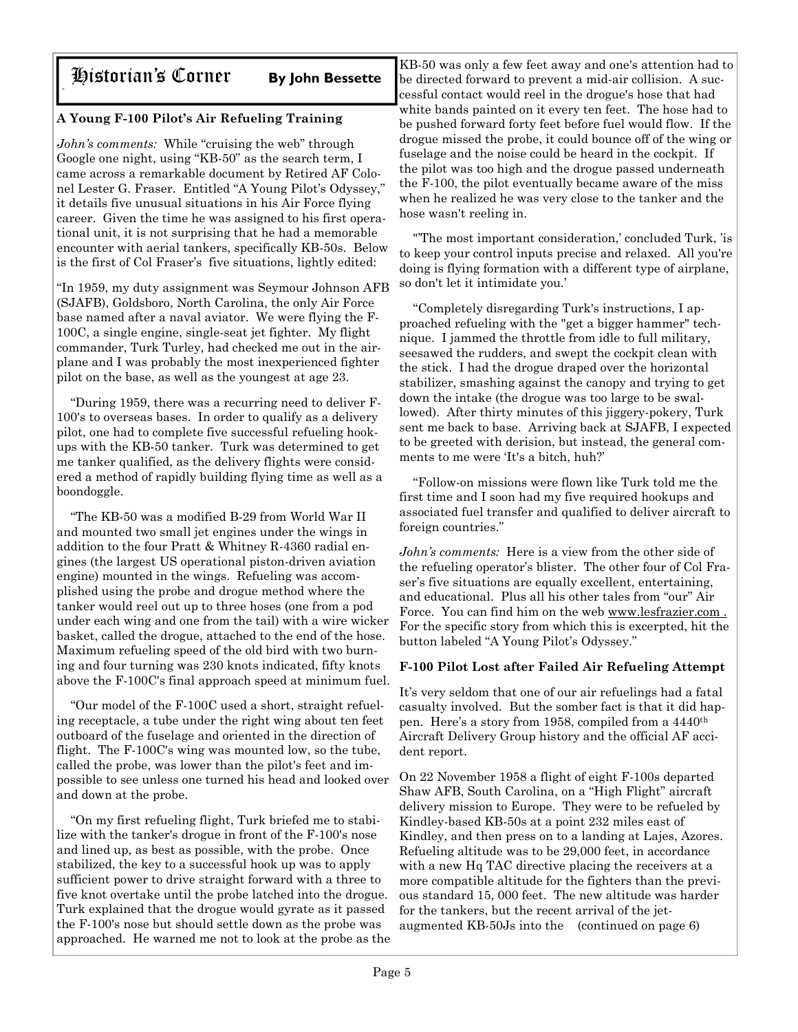# Historian's Corner **By John Bessette**

### **A Young F-100 Pilot's Air Refueling Training**

*John's comments:* While "cruising the web" through Google one night, using "KB-50" as the search term, I came across a remarkable document by Retired AF Colonel Lester G. Fraser. Entitled "A Young Pilot's Odyssey," it details five unusual situations in his Air Force flying career. Given the time he was assigned to his first operational unit, it is not surprising that he had a memorable encounter with aerial tankers, specifically KB-50s. Below is the first of Col Fraser's five situations, lightly edited:

"In 1959, my duty assignment was Seymour Johnson AFB (SJAFB), Goldsboro, North Carolina, the only Air Force base named after a naval aviator. We were flying the F-100C, a single engine, single-seat jet fighter. My flight commander, Turk Turley, had checked me out in the airplane and I was probably the most inexperienced fighter pilot on the base, as well as the youngest at age 23.

 "During 1959, there was a recurring need to deliver F-100's to overseas bases. In order to qualify as a delivery pilot, one had to complete five successful refueling hookups with the KB-50 tanker. Turk was determined to get me tanker qualified, as the delivery flights were considered a method of rapidly building flying time as well as a boondoggle.

 "The KB-50 was a modified B-29 from World War II and mounted two small jet engines under the wings in addition to the four Pratt & Whitney R-4360 radial engines (the largest US operational piston-driven aviation engine) mounted in the wings. Refueling was accomplished using the probe and drogue method where the tanker would reel out up to three hoses (one from a pod under each wing and one from the tail) with a wire wicker basket, called the drogue, attached to the end of the hose. Maximum refueling speed of the old bird with two burning and four turning was 230 knots indicated, fifty knots above the F-100C's final approach speed at minimum fuel.

 "Our model of the F-100C used a short, straight refueling receptacle, a tube under the right wing about ten feet outboard of the fuselage and oriented in the direction of flight. The F-100C's wing was mounted low, so the tube, called the probe, was lower than the pilot's feet and impossible to see unless one turned his head and looked over and down at the probe.

 "On my first refueling flight, Turk briefed me to stabilize with the tanker's drogue in front of the F-100's nose and lined up, as best as possible, with the probe. Once stabilized, the key to a successful hook up was to apply sufficient power to drive straight forward with a three to five knot overtake until the probe latched into the drogue. Turk explained that the drogue would gyrate as it passed the F-100's nose but should settle down as the probe was approached. He warned me not to look at the probe as the

KB-50 was only a few feet away and one's attention had to be directed forward to prevent a mid-air collision. A successful contact would reel in the drogue's hose that had white bands painted on it every ten feet. The hose had to be pushed forward forty feet before fuel would flow. If the drogue missed the probe, it could bounce off of the wing or fuselage and the noise could be heard in the cockpit. If the pilot was too high and the drogue passed underneath the F-100, the pilot eventually became aware of the miss when he realized he was very close to the tanker and the hose wasn't reeling in.

 "'The most important consideration,' concluded Turk, 'is to keep your control inputs precise and relaxed. All you're doing is flying formation with a different type of airplane, so don't let it intimidate you.'

 "Completely disregarding Turk's instructions, I approached refueling with the "get a bigger hammer" technique. I jammed the throttle from idle to full military, seesawed the rudders, and swept the cockpit clean with the stick. I had the drogue draped over the horizontal stabilizer, smashing against the canopy and trying to get down the intake (the drogue was too large to be swallowed). After thirty minutes of this jiggery-pokery, Turk sent me back to base. Arriving back at SJAFB, I expected to be greeted with derision, but instead, the general comments to me were 'It's a bitch, huh?'

 "Follow-on missions were flown like Turk told me the first time and I soon had my five required hookups and associated fuel transfer and qualified to deliver aircraft to foreign countries."

*John's comments:* Here is a view from the other side of the refueling operator's blister. The other four of Col Fraser's five situations are equally excellent, entertaining, and educational. Plus all his other tales from "our" Air Force. You can find him on the web www.lesfrazier.com . For the specific story from which this is excerpted, hit the button labeled "A Young Pilot's Odyssey."

#### **F-100 Pilot Lost after Failed Air Refueling Attempt**

It's very seldom that one of our air refuelings had a fatal casualty involved. But the somber fact is that it did happen. Here's a story from 1958, compiled from a 4440th Aircraft Delivery Group history and the official AF accident report.

On 22 November 1958 a flight of eight F-100s departed Shaw AFB, South Carolina, on a "High Flight" aircraft delivery mission to Europe. They were to be refueled by Kindley-based KB-50s at a point 232 miles east of Kindley, and then press on to a landing at Lajes, Azores. Refueling altitude was to be 29,000 feet, in accordance with a new Hq TAC directive placing the receivers at a more compatible altitude for the fighters than the previous standard 15, 000 feet. The new altitude was harder for the tankers, but the recent arrival of the jetaugmented KB-50Js into the (continued on page 6)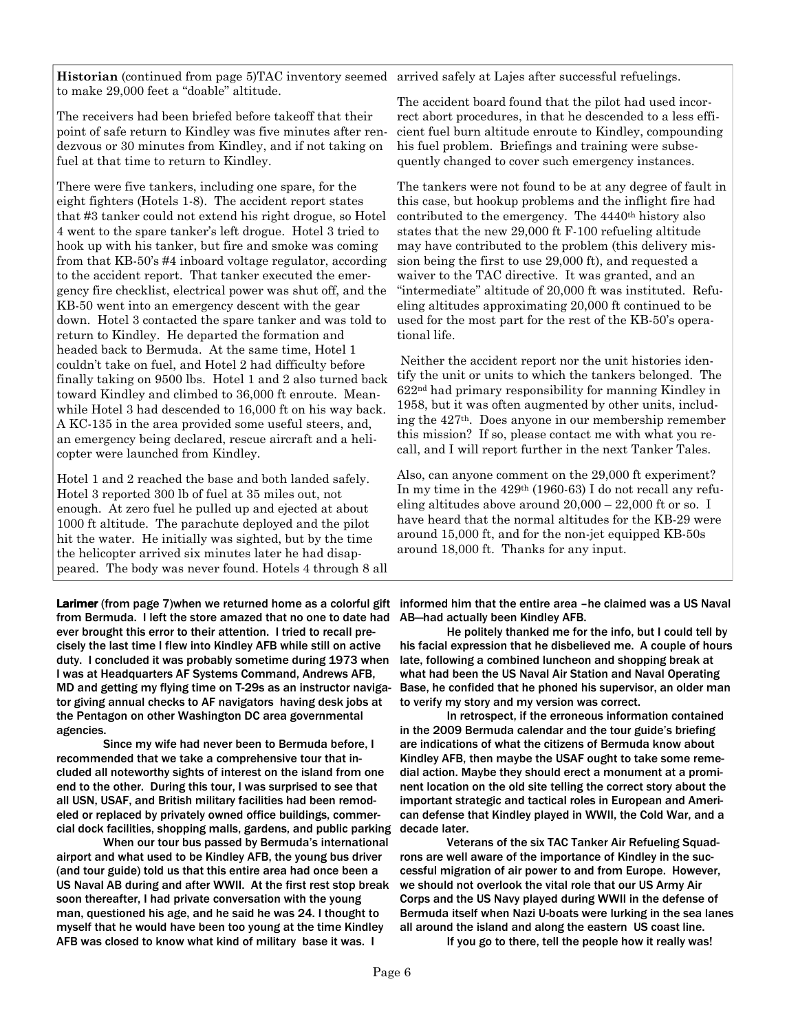**Historian** (continued from page 5)TAC inventory seemed arrived safely at Lajes after successful refuelings. to make 29,000 feet a "doable" altitude.

The receivers had been briefed before takeoff that their point of safe return to Kindley was five minutes after rendezvous or 30 minutes from Kindley, and if not taking on fuel at that time to return to Kindley.

There were five tankers, including one spare, for the eight fighters (Hotels 1-8). The accident report states that #3 tanker could not extend his right drogue, so Hotel 4 went to the spare tanker's left drogue. Hotel 3 tried to hook up with his tanker, but fire and smoke was coming from that KB-50's #4 inboard voltage regulator, according to the accident report. That tanker executed the emergency fire checklist, electrical power was shut off, and the KB-50 went into an emergency descent with the gear down. Hotel 3 contacted the spare tanker and was told to return to Kindley. He departed the formation and headed back to Bermuda. At the same time, Hotel 1 couldn't take on fuel, and Hotel 2 had difficulty before finally taking on 9500 lbs. Hotel 1 and 2 also turned back toward Kindley and climbed to 36,000 ft enroute. Meanwhile Hotel 3 had descended to 16,000 ft on his way back. A KC-135 in the area provided some useful steers, and, an emergency being declared, rescue aircraft and a helicopter were launched from Kindley.

Hotel 1 and 2 reached the base and both landed safely. Hotel 3 reported 300 lb of fuel at 35 miles out, not enough. At zero fuel he pulled up and ejected at about 1000 ft altitude. The parachute deployed and the pilot hit the water. He initially was sighted, but by the time the helicopter arrived six minutes later he had disappeared. The body was never found. Hotels 4 through 8 all

Larimer (from page 7)when we returned home as a colorful gift informed him that the entire area -he claimed was a US Naval from Bermuda. I left the store amazed that no one to date had ever brought this error to their attention. I tried to recall precisely the last time I flew into Kindley AFB while still on active duty. I concluded it was probably sometime during 1973 when I was at Headquarters AF Systems Command, Andrews AFB, MD and getting my flying time on T-29s as an instructor navigator giving annual checks to AF navigators having desk jobs at the Pentagon on other Washington DC area governmental agencies.

 Since my wife had never been to Bermuda before, I recommended that we take a comprehensive tour that included all noteworthy sights of interest on the island from one end to the other. During this tour, I was surprised to see that all USN, USAF, and British military facilities had been remodeled or replaced by privately owned office buildings, commercial dock facilities, shopping malls, gardens, and public parking

 When our tour bus passed by Bermuda's international airport and what used to be Kindley AFB, the young bus driver (and tour guide) told us that this entire area had once been a US Naval AB during and after WWII. At the first rest stop break soon thereafter, I had private conversation with the young man, questioned his age, and he said he was 24. I thought to myself that he would have been too young at the time Kindley AFB was closed to know what kind of military base it was. I

The accident board found that the pilot had used incorrect abort procedures, in that he descended to a less efficient fuel burn altitude enroute to Kindley, compounding his fuel problem. Briefings and training were subsequently changed to cover such emergency instances.

The tankers were not found to be at any degree of fault in this case, but hookup problems and the inflight fire had contributed to the emergency. The 4440th history also states that the new 29,000 ft F-100 refueling altitude may have contributed to the problem (this delivery mission being the first to use 29,000 ft), and requested a waiver to the TAC directive. It was granted, and an "intermediate" altitude of 20,000 ft was instituted. Refueling altitudes approximating 20,000 ft continued to be used for the most part for the rest of the KB-50's operational life.

 Neither the accident report nor the unit histories identify the unit or units to which the tankers belonged. The 622nd had primary responsibility for manning Kindley in 1958, but it was often augmented by other units, including the 427th. Does anyone in our membership remember this mission? If so, please contact me with what you recall, and I will report further in the next Tanker Tales.

Also, can anyone comment on the 29,000 ft experiment? In my time in the 429th (1960-63) I do not recall any refueling altitudes above around  $20,000 - 22,000$  ft or so. I have heard that the normal altitudes for the KB-29 were around 15,000 ft, and for the non-jet equipped KB-50s around 18,000 ft. Thanks for any input.

AB—had actually been Kindley AFB.

 He politely thanked me for the info, but I could tell by his facial expression that he disbelieved me. A couple of hours late, following a combined luncheon and shopping break at what had been the US Naval Air Station and Naval Operating Base, he confided that he phoned his supervisor, an older man to verify my story and my version was correct.

 In retrospect, if the erroneous information contained in the 2009 Bermuda calendar and the tour guide's briefing are indications of what the citizens of Bermuda know about Kindley AFB, then maybe the USAF ought to take some remedial action. Maybe they should erect a monument at a prominent location on the old site telling the correct story about the important strategic and tactical roles in European and American defense that Kindley played in WWII, the Cold War, and a decade later.

 Veterans of the six TAC Tanker Air Refueling Squadrons are well aware of the importance of Kindley in the successful migration of air power to and from Europe. However, we should not overlook the vital role that our US Army Air Corps and the US Navy played during WWII in the defense of Bermuda itself when Nazi U-boats were lurking in the sea lanes all around the island and along the eastern US coast line.

If you go to there, tell the people how it really was!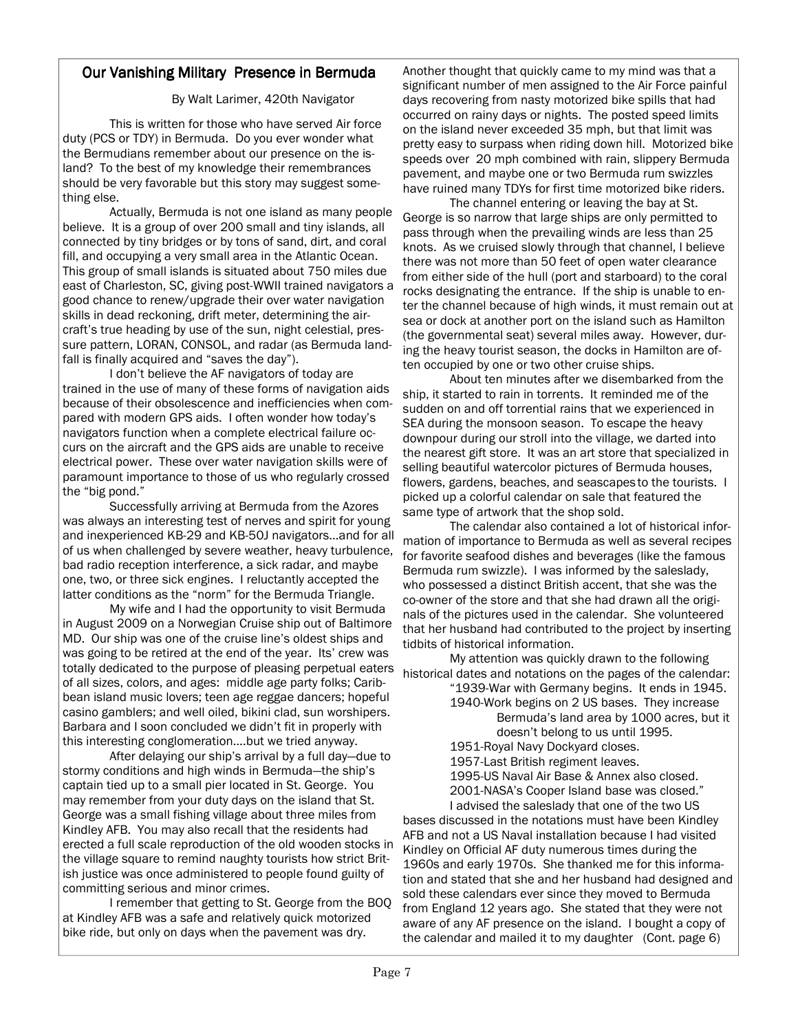#### **Our Vanishing Military Presence in Bermuda**

#### By Walt Larimer, 420th Navigator

 This is written for those who have served Air force duty (PCS or TDY) in Bermuda. Do you ever wonder what the Bermudians remember about our presence on the island? To the best of my knowledge their remembrances should be very favorable but this story may suggest something else.

 Actually, Bermuda is not one island as many people believe. It is a group of over 200 small and tiny islands, all connected by tiny bridges or by tons of sand, dirt, and coral fill, and occupying a very small area in the Atlantic Ocean. This group of small islands is situated about 750 miles due east of Charleston, SC, giving post-WWII trained navigators a good chance to renew/upgrade their over water navigation skills in dead reckoning, drift meter, determining the aircraft's true heading by use of the sun, night celestial, pressure pattern, LORAN, CONSOL, and radar (as Bermuda landfall is finally acquired and "saves the day").

 I don't believe the AF navigators of today are trained in the use of many of these forms of navigation aids because of their obsolescence and inefficiencies when compared with modern GPS aids. I often wonder how today's navigators function when a complete electrical failure occurs on the aircraft and the GPS aids are unable to receive electrical power. These over water navigation skills were of paramount importance to those of us who regularly crossed the "big pond."

 Successfully arriving at Bermuda from the Azores was always an interesting test of nerves and spirit for young and inexperienced KB-29 and KB-50J navigators...and for all of us when challenged by severe weather, heavy turbulence, bad radio reception interference, a sick radar, and maybe one, two, or three sick engines. I reluctantly accepted the latter conditions as the "norm" for the Bermuda Triangle.

 My wife and I had the opportunity to visit Bermuda in August 2009 on a Norwegian Cruise ship out of Baltimore MD. Our ship was one of the cruise line's oldest ships and was going to be retired at the end of the year. Its' crew was totally dedicated to the purpose of pleasing perpetual eaters of all sizes, colors, and ages: middle age party folks; Caribbean island music lovers; teen age reggae dancers; hopeful casino gamblers; and well oiled, bikini clad, sun worshipers. Barbara and I soon concluded we didn't fit in properly with this interesting conglomeration….but we tried anyway.

 After delaying our ship's arrival by a full day—due to stormy conditions and high winds in Bermuda—the ship's captain tied up to a small pier located in St. George. You may remember from your duty days on the island that St. George was a small fishing village about three miles from Kindley AFB. You may also recall that the residents had erected a full scale reproduction of the old wooden stocks in the village square to remind naughty tourists how strict British justice was once administered to people found guilty of committing serious and minor crimes.

 I remember that getting to St. George from the BOQ at Kindley AFB was a safe and relatively quick motorized bike ride, but only on days when the pavement was dry.

Another thought that quickly came to my mind was that a significant number of men assigned to the Air Force painful days recovering from nasty motorized bike spills that had occurred on rainy days or nights. The posted speed limits on the island never exceeded 35 mph, but that limit was pretty easy to surpass when riding down hill. Motorized bike speeds over 20 mph combined with rain, slippery Bermuda pavement, and maybe one or two Bermuda rum swizzles have ruined many TDYs for first time motorized bike riders.

 The channel entering or leaving the bay at St. George is so narrow that large ships are only permitted to pass through when the prevailing winds are less than 25 knots. As we cruised slowly through that channel, I believe there was not more than 50 feet of open water clearance from either side of the hull (port and starboard) to the coral rocks designating the entrance. If the ship is unable to enter the channel because of high winds, it must remain out at sea or dock at another port on the island such as Hamilton (the governmental seat) several miles away. However, during the heavy tourist season, the docks in Hamilton are often occupied by one or two other cruise ships.

 About ten minutes after we disembarked from the ship, it started to rain in torrents. It reminded me of the sudden on and off torrential rains that we experienced in SEA during the monsoon season. To escape the heavy downpour during our stroll into the village, we darted into the nearest gift store. It was an art store that specialized in selling beautiful watercolor pictures of Bermuda houses, flowers, gardens, beaches, and seascapes to the tourists. I picked up a colorful calendar on sale that featured the same type of artwork that the shop sold.

 The calendar also contained a lot of historical information of importance to Bermuda as well as several recipes for favorite seafood dishes and beverages (like the famous Bermuda rum swizzle). I was informed by the saleslady, who possessed a distinct British accent, that she was the co-owner of the store and that she had drawn all the originals of the pictures used in the calendar. She volunteered that her husband had contributed to the project by inserting tidbits of historical information.

 My attention was quickly drawn to the following historical dates and notations on the pages of the calendar:

 "1939-War with Germany begins. It ends in 1945. 1940-Work begins on 2 US bases. They increase Bermuda's land area by 1000 acres, but it

doesn't belong to us until 1995.

1951-Royal Navy Dockyard closes.

1957-Last British regiment leaves.

 1995-US Naval Air Base & Annex also closed. 2001-NASA's Cooper Island base was closed."

I advised the saleslady that one of the two US

bases discussed in the notations must have been Kindley AFB and not a US Naval installation because I had visited Kindley on Official AF duty numerous times during the 1960s and early 1970s. She thanked me for this information and stated that she and her husband had designed and sold these calendars ever since they moved to Bermuda from England 12 years ago. She stated that they were not aware of any AF presence on the island. I bought a copy of the calendar and mailed it to my daughter (Cont. page 6)